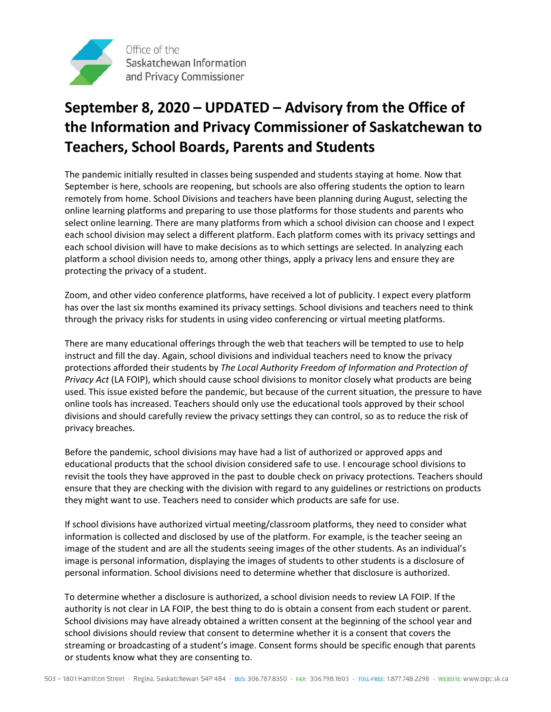

## **September 8, 2020 – UPDATED – Advisory from the Office of the Information and Privacy Commissioner of Saskatchewan to Teachers, School Boards, Parents and Students**

The pandemic initially resulted in classes being suspended and students staying at home. Now that September is here, schools are reopening, but schools are also offering students the option to learn remotely from home. School Divisions and teachers have been planning during August, selecting the online learning platforms and preparing to use those platforms for those students and parents who select online learning. There are many platforms from which a school division can choose and I expect each school division may select a different platform. Each platform comes with its privacy settings and each school division will have to make decisions as to which settings are selected. In analyzing each platform a school division needs to, among other things, apply a privacy lens and ensure they are protecting the privacy of a student.

Zoom, and other video conference platforms, have received a lot of publicity. I expect every platform has over the last six months examined its privacy settings. School divisions and teachers need to think through the privacy risks for students in using video conferencing or virtual meeting platforms.

There are many educational offerings through the web that teachers will be tempted to use to help instruct and fill the day. Again, school divisions and individual teachers need to know the privacy protections afforded their students by *The Local Authority Freedom of Information and Protection of Privacy Act* (LA FOIP), which should cause school divisions to monitor closely what products are being used. This issue existed before the pandemic, but because of the current situation, the pressure to have online tools has increased. Teachers should only use the educational tools approved by their school divisions and should carefully review the privacy settings they can control, so as to reduce the risk of privacy breaches.

Before the pandemic, school divisions may have had a list of authorized or approved apps and educational products that the school division considered safe to use. I encourage school divisions to revisit the tools they have approved in the past to double check on privacy protections. Teachers should ensure that they are checking with the division with regard to any guidelines or restrictions on products they might want to use. Teachers need to consider which products are safe for use.

If school divisions have authorized virtual meeting/classroom platforms, they need to consider what information is collected and disclosed by use of the platform. For example, is the teacher seeing an image of the student and are all the students seeing images of the other students. As an individual's image is personal information, displaying the images of students to other students is a disclosure of personal information. School divisions need to determine whether that disclosure is authorized.

To determine whether a disclosure is authorized, a school division needs to review LA FOIP. If the authority is not clear in LA FOIP, the best thing to do is obtain a consent from each student or parent. School divisions may have already obtained a written consent at the beginning of the school year and school divisions should review that consent to determine whether it is a consent that covers the streaming or broadcasting of a student's image. Consent forms should be specific enough that parents or students know what they are consenting to.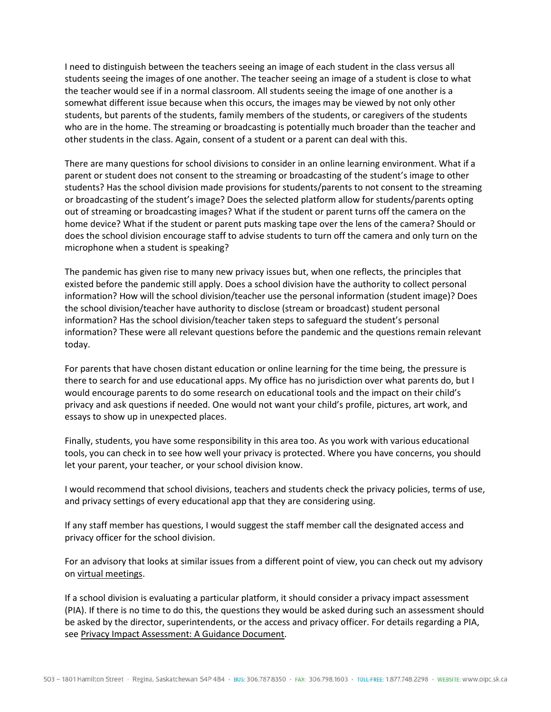I need to distinguish between the teachers seeing an image of each student in the class versus all students seeing the images of one another. The teacher seeing an image of a student is close to what the teacher would see if in a normal classroom. All students seeing the image of one another is a somewhat different issue because when this occurs, the images may be viewed by not only other students, but parents of the students, family members of the students, or caregivers of the students who are in the home. The streaming or broadcasting is potentially much broader than the teacher and other students in the class. Again, consent of a student or a parent can deal with this.

There are many questions for school divisions to consider in an online learning environment. What if a parent or student does not consent to the streaming or broadcasting of the student's image to other students? Has the school division made provisions for students/parents to not consent to the streaming or broadcasting of the student's image? Does the selected platform allow for students/parents opting out of streaming or broadcasting images? What if the student or parent turns off the camera on the home device? What if the student or parent puts masking tape over the lens of the camera? Should or does the school division encourage staff to advise students to turn off the camera and only turn on the microphone when a student is speaking?

The pandemic has given rise to many new privacy issues but, when one reflects, the principles that existed before the pandemic still apply. Does a school division have the authority to collect personal information? How will the school division/teacher use the personal information (student image)? Does the school division/teacher have authority to disclose (stream or broadcast) student personal information? Has the school division/teacher taken steps to safeguard the student's personal information? These were all relevant questions before the pandemic and the questions remain relevant today.

For parents that have chosen distant education or online learning for the time being, the pressure is there to search for and use educational apps. My office has no jurisdiction over what parents do, but I would encourage parents to do some research on educational tools and the impact on their child's privacy and ask questions if needed. One would not want your child's profile, pictures, art work, and essays to show up in unexpected places.

Finally, students, you have some responsibility in this area too. As you work with various educational tools, you can check in to see how well your privacy is protected. Where you have concerns, you should let your parent, your teacher, or your school division know.

I would recommend that school divisions, teachers and students check the privacy policies, terms of use, and privacy settings of every educational app that they are considering using.

If any staff member has questions, I would suggest the staff member call the designated access and privacy officer for the school division.

For an advisory that looks at similar issues from a different point of view, you can check out my advisory on [virtual meetings.](https://oipc.sk.ca/advisory-from-the-office-of-the-information-and-privacy-commissioner-of-saskatchewan-on-pandemic-and-virtual-meetings/)

If a school division is evaluating a particular platform, it should consider a privacy impact assessment (PIA). If there is no time to do this, the questions they would be asked during such an assessment should be asked by the director, superintendents, or the access and privacy officer. For details regarding a PIA, se[e Privacy Impact Assessment:](https://oipc.sk.ca/assets/privacy-impact-assessment-guidance-document.pdf) A Guidance Document.